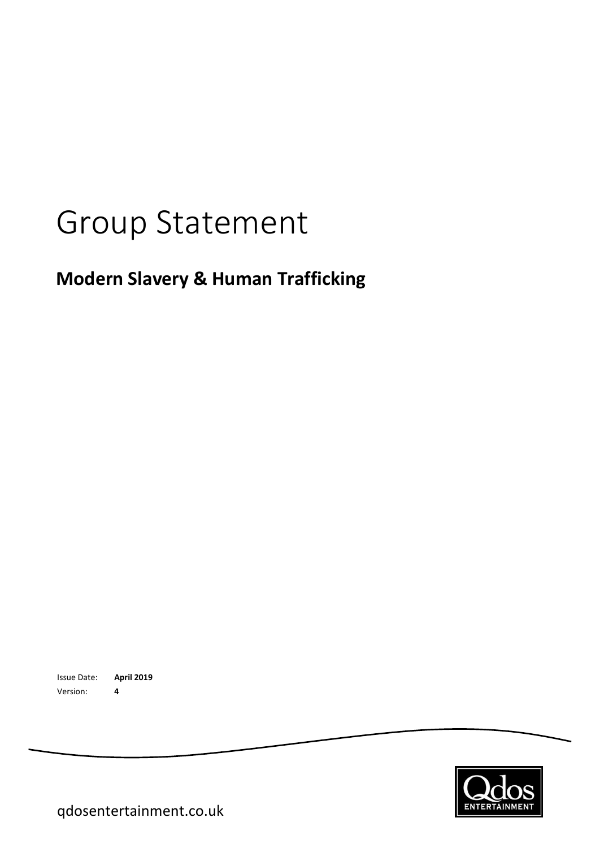# Group Statement

## **Modern Slavery & Human Trafficking**

Issue Date: **April 2019** Version: **4**

**ENTERTAINMEN** 

qdosentertainment.co.uk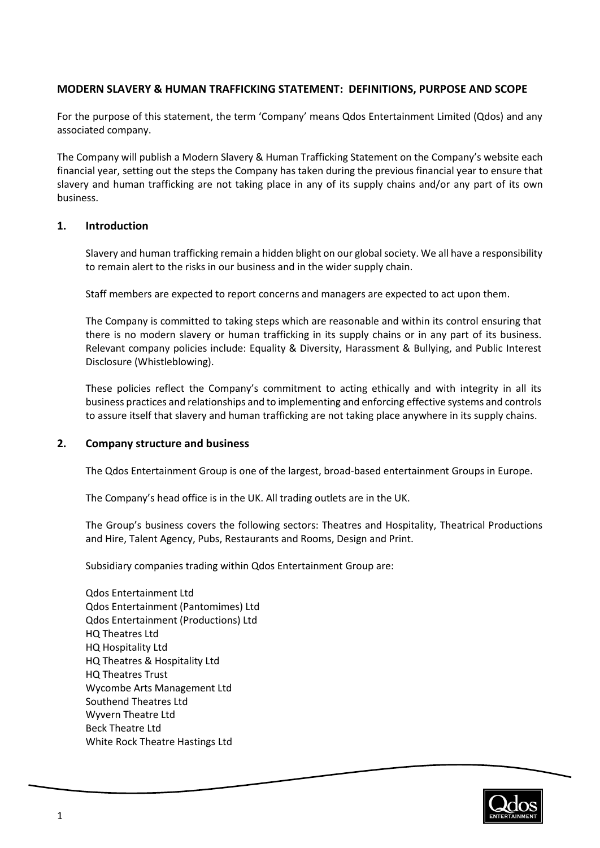#### **MODERN SLAVERY & HUMAN TRAFFICKING STATEMENT: DEFINITIONS, PURPOSE AND SCOPE**

For the purpose of this statement, the term 'Company' means Qdos Entertainment Limited (Qdos) and any associated company.

The Company will publish a Modern Slavery & Human Trafficking Statement on the Company's website each financial year, setting out the steps the Company has taken during the previous financial year to ensure that slavery and human trafficking are not taking place in any of its supply chains and/or any part of its own business.

#### **1. Introduction**

Slavery and human trafficking remain a hidden blight on our global society. We all have a responsibility to remain alert to the risks in our business and in the wider supply chain.

Staff members are expected to report concerns and managers are expected to act upon them.

The Company is committed to taking steps which are reasonable and within its control ensuring that there is no modern slavery or human trafficking in its supply chains or in any part of its business. Relevant company policies include: Equality & Diversity, Harassment & Bullying, and Public Interest Disclosure (Whistleblowing).

These policies reflect the Company's commitment to acting ethically and with integrity in all its business practices and relationships and to implementing and enforcing effective systems and controls to assure itself that slavery and human trafficking are not taking place anywhere in its supply chains.

#### **2. Company structure and business**

The Qdos Entertainment Group is one of the largest, broad-based entertainment Groups in Europe.

The Company's head office is in the UK. All trading outlets are in the UK.

The Group's business covers the following sectors: Theatres and Hospitality, Theatrical Productions and Hire, Talent Agency, Pubs, Restaurants and Rooms, Design and Print.

Subsidiary companies trading within Qdos Entertainment Group are:

Qdos Entertainment Ltd Qdos Entertainment (Pantomimes) Ltd Qdos Entertainment (Productions) Ltd HQ Theatres Ltd HQ Hospitality Ltd HQ Theatres & Hospitality Ltd HQ Theatres Trust Wycombe Arts Management Ltd Southend Theatres Ltd Wyvern Theatre Ltd Beck Theatre Ltd White Rock Theatre Hastings Ltd

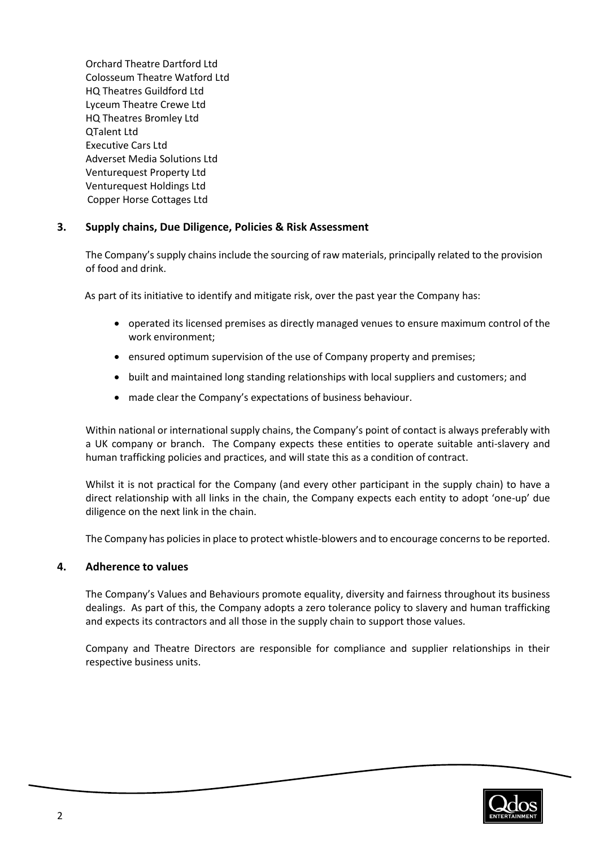Orchard Theatre Dartford Ltd Colosseum Theatre Watford Ltd HQ Theatres Guildford Ltd Lyceum Theatre Crewe Ltd HQ Theatres Bromley Ltd QTalent Ltd Executive Cars Ltd Adverset Media Solutions Ltd Venturequest Property Ltd Venturequest Holdings Ltd Copper Horse Cottages Ltd

#### **3. Supply chains, Due Diligence, Policies & Risk Assessment**

The Company's supply chains include the sourcing of raw materials, principally related to the provision of food and drink.

As part of its initiative to identify and mitigate risk, over the past year the Company has:

- operated its licensed premises as directly managed venues to ensure maximum control of the work environment;
- ensured optimum supervision of the use of Company property and premises;
- built and maintained long standing relationships with local suppliers and customers; and
- made clear the Company's expectations of business behaviour.

Within national or international supply chains, the Company's point of contact is always preferably with a UK company or branch. The Company expects these entities to operate suitable anti-slavery and human trafficking policies and practices, and will state this as a condition of contract.

Whilst it is not practical for the Company (and every other participant in the supply chain) to have a direct relationship with all links in the chain, the Company expects each entity to adopt 'one-up' due diligence on the next link in the chain.

The Company has policies in place to protect whistle-blowers and to encourage concerns to be reported.

#### **4. Adherence to values**

The Company's Values and Behaviours promote equality, diversity and fairness throughout its business dealings. As part of this, the Company adopts a zero tolerance policy to slavery and human trafficking and expects its contractors and all those in the supply chain to support those values.

Company and Theatre Directors are responsible for compliance and supplier relationships in their respective business units.